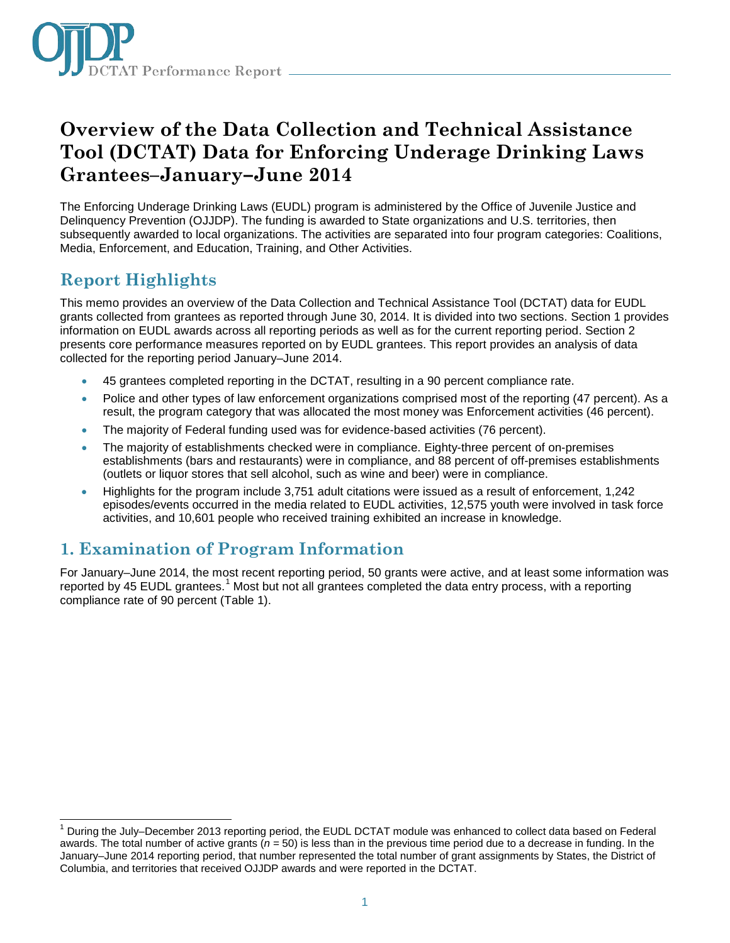

# **Overview of the Data Collection and Technical Assistance Tool (DCTAT) Data for Enforcing Underage Drinking Laws Grantees–January–June 2014**

The Enforcing Underage Drinking Laws (EUDL) program is administered by the Office of Juvenile Justice and Delinquency Prevention (OJJDP). The funding is awarded to State organizations and U.S. territories, then subsequently awarded to local organizations. The activities are separated into four program categories: Coalitions, Media, Enforcement, and Education, Training, and Other Activities.

# **Report Highlights**

 $\overline{\phantom{a}}$ 

This memo provides an overview of the Data Collection and Technical Assistance Tool (DCTAT) data for EUDL grants collected from grantees as reported through June 30, 2014. It is divided into two sections. Section 1 provides information on EUDL awards across all reporting periods as well as for the current reporting period. Section 2 presents core performance measures reported on by EUDL grantees. This report provides an analysis of data collected for the reporting period January–June 2014.

- 45 grantees completed reporting in the DCTAT, resulting in a 90 percent compliance rate.
- Police and other types of law enforcement organizations comprised most of the reporting (47 percent). As a result, the program category that was allocated the most money was Enforcement activities (46 percent).
- The majority of Federal funding used was for evidence-based activities (76 percent).
- The majority of establishments checked were in compliance. Eighty-three percent of on-premises establishments (bars and restaurants) were in compliance, and 88 percent of off-premises establishments (outlets or liquor stores that sell alcohol, such as wine and beer) were in compliance.
- Highlights for the program include 3,751 adult citations were issued as a result of enforcement, 1,242 episodes/events occurred in the media related to EUDL activities, 12,575 youth were involved in task force activities, and 10,601 people who received training exhibited an increase in knowledge.

## **1. Examination of Program Information**

For January–June 2014, the most recent reporting period, 50 grants were active, and at least some information was reported by 45 EUDL grantees.<sup>[1](#page-0-0)</sup> Most but not all grantees completed the data entry process, with a reporting compliance rate of 90 percent (Table 1).

<span id="page-0-0"></span><sup>1</sup> During the July–December 2013 reporting period, the EUDL DCTAT module was enhanced to collect data based on Federal awards. The total number of active grants (*n =* 50) is less than in the previous time period due to a decrease in funding. In the January–June 2014 reporting period, that number represented the total number of grant assignments by States, the District of Columbia, and territories that received OJJDP awards and were reported in the DCTAT.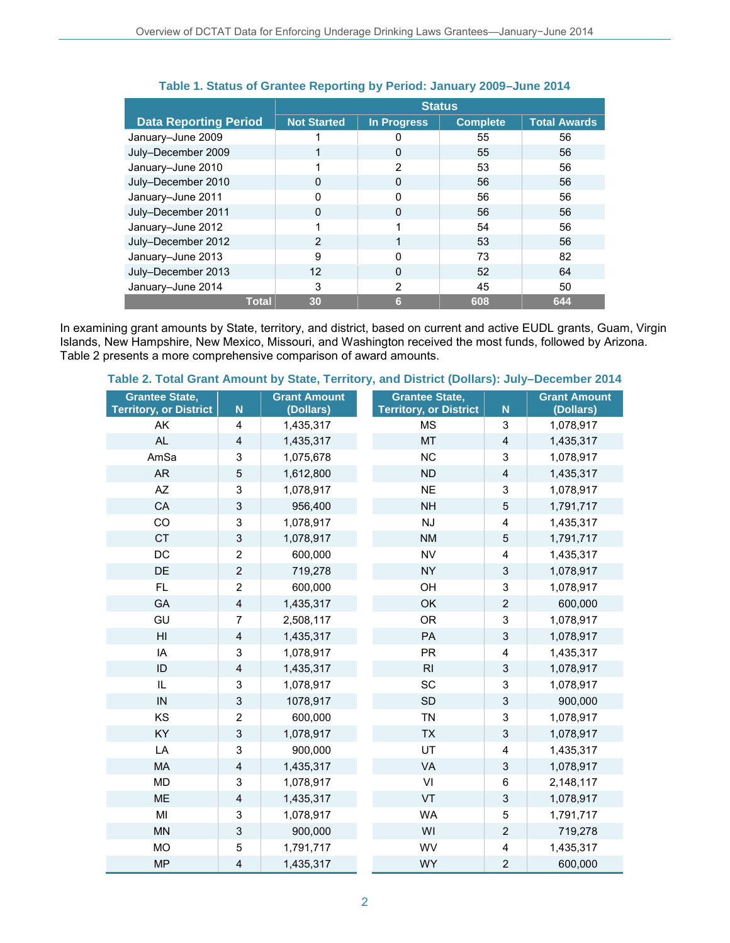|                              | <b>Status</b>      |                    |                 |                     |
|------------------------------|--------------------|--------------------|-----------------|---------------------|
| <b>Data Reporting Period</b> | <b>Not Started</b> | <b>In Progress</b> | <b>Complete</b> | <b>Total Awards</b> |
| January-June 2009            |                    |                    | 55              | 56                  |
| July-December 2009           |                    | 0                  | 55              | 56                  |
| January-June 2010            |                    | 2                  | 53              | 56                  |
| July-December 2010           | <sup>0</sup>       | $\Omega$           | 56              | 56                  |
| January-June 2011            |                    |                    | 56              | 56                  |
| July-December 2011           | <sup>0</sup>       | 0                  | 56              | 56                  |
| January-June 2012            |                    |                    | 54              | 56                  |
| July-December 2012           | 2                  |                    | 53              | 56                  |
| January-June 2013            | 9                  | O                  | 73              | 82                  |
| July-December 2013           | 12                 | 0                  | 52              | 64                  |
| January-June 2014            | 3                  | 2                  | 45              | 50                  |
| <b>Total</b>                 | 30                 | 6                  | 608             | 644                 |

### **Table 1. Status of Grantee Reporting by Period: January 2009–June 2014**

In examining grant amounts by State, territory, and district, based on current and active EUDL grants, Guam, Virgin Islands, New Hampshire, New Mexico, Missouri, and Washington received the most funds, followed by Arizona. Table 2 presents a more comprehensive comparison of award amounts.

#### **Grantee State, Territory, or District N Grant Amount (Dollars) Grantee State, Territory, or District N Grant Amount (Dollars)** AK 4 1,435,317 MS 3 1,078,917 AL 4 1,435,317 MT 4 1,435,317 AmSa 3 1,075,678 NC 3 1,078,917 AR 5 1,612,800 ND 4 1,435,317 AZ | 3 | 1,078,917 NE | 3 | 1,078,917 CA 3 956,400 NH 5 1,791,717 CO 3 1,078,917 NJ 4 1,435,317 CT | 3 | 1,078,917 NM | 5 | 1,791,717 DC 2 600,000 NV 4 1,435,317 DE 2 719,278 NY 3 1,078,917 FL | 2 | 600,000 OH | 3 | 1,078,917 GA 4 1,435,317 OK 2 600,000 GU 7 2,508,117 OR 3 1,078,917 HI 4 1,435,317 PA 3 1,078,917 IA 3 1,078,917 PR 4 1,435,317 ID 4 1,435,317 RI 3 1,078,917 IL | 3 | 1,078,917 SC | 3 | 1,078,917 IN 3 1078,917 SD 3 900,000 KS 2 600,000 TN 3 1,078,917 KY 3 1,078,917 TX 3 1,078,917 LA 3 900,000 UT 4 1,435,317 MA 4 1,435,317 VA 3 1,078,917 MD 3 1,078,917 VI 6 2,148,117 ME 4 1,435,317 VT 3 1,078,917 MI 3 1,078,917 WA 5 1,791,717 MN 3 900,000 WI 2 719,278 MO 5 1,791,717 WV 4 1,435,317 MP 4 1,435,317 WY 2 600,000

### **Table 2. Total Grant Amount by State, Territory, and District (Dollars): July–December 2014**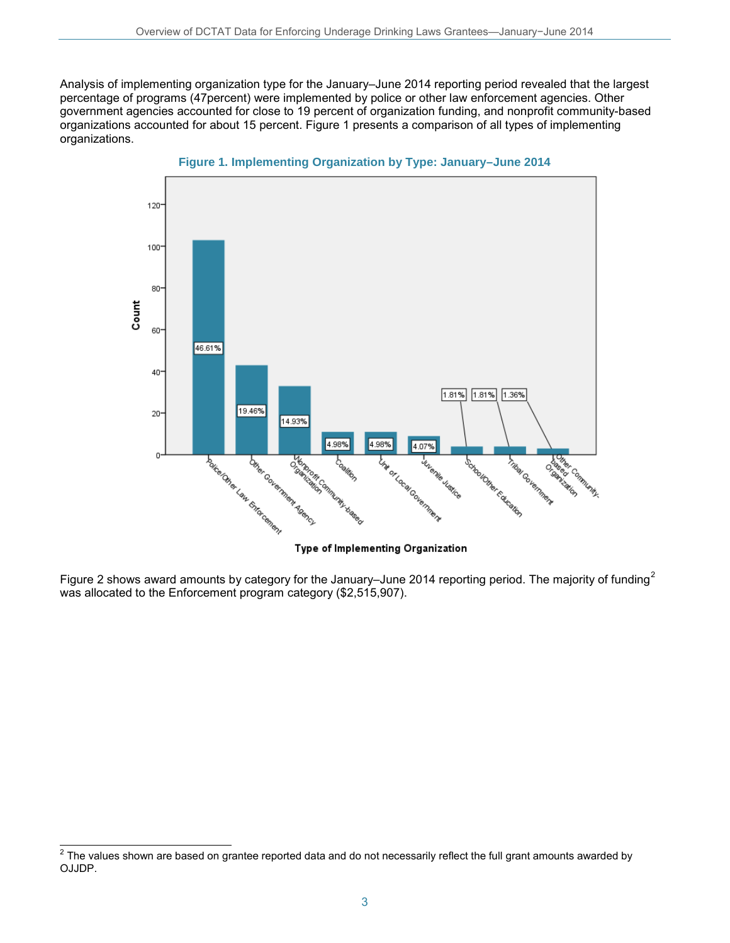Analysis of implementing organization type for the January–June 2014 reporting period revealed that the largest percentage of programs (47percent) were implemented by police or other law enforcement agencies. Other government agencies accounted for close to 19 percent of organization funding, and nonprofit community-based organizations accounted for about 15 percent. Figure 1 presents a comparison of all types of implementing organizations.



**Figure 1. Implementing Organization by Type: January–June 2014**

Figure [2](#page-2-0) shows award amounts by category for the January–June 2014 reporting period. The majority of funding<sup>2</sup> was allocated to the Enforcement program category (\$2,515,907).

Type of Implementing Organization

<span id="page-2-0"></span> $\overline{\phantom{a}}$  $^2$  The values shown are based on grantee reported data and do not necessarily reflect the full grant amounts awarded by OJJDP.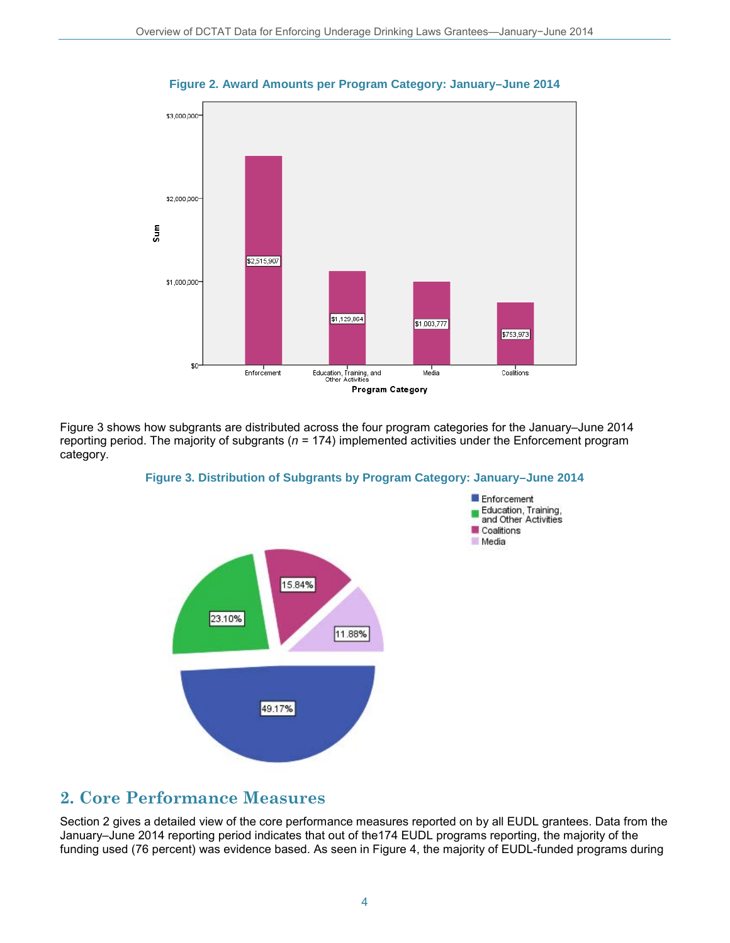

**Figure 2. Award Amounts per Program Category: January–June 2014**

Figure 3 shows how subgrants are distributed across the four program categories for the January–June 2014 reporting period. The majority of subgrants (*n* = 174) implemented activities under the Enforcement program category.





### **2. Core Performance Measures**

Section 2 gives a detailed view of the core performance measures reported on by all EUDL grantees. Data from the January–June 2014 reporting period indicates that out of the174 EUDL programs reporting, the majority of the funding used (76 percent) was evidence based. As seen in Figure 4, the majority of EUDL-funded programs during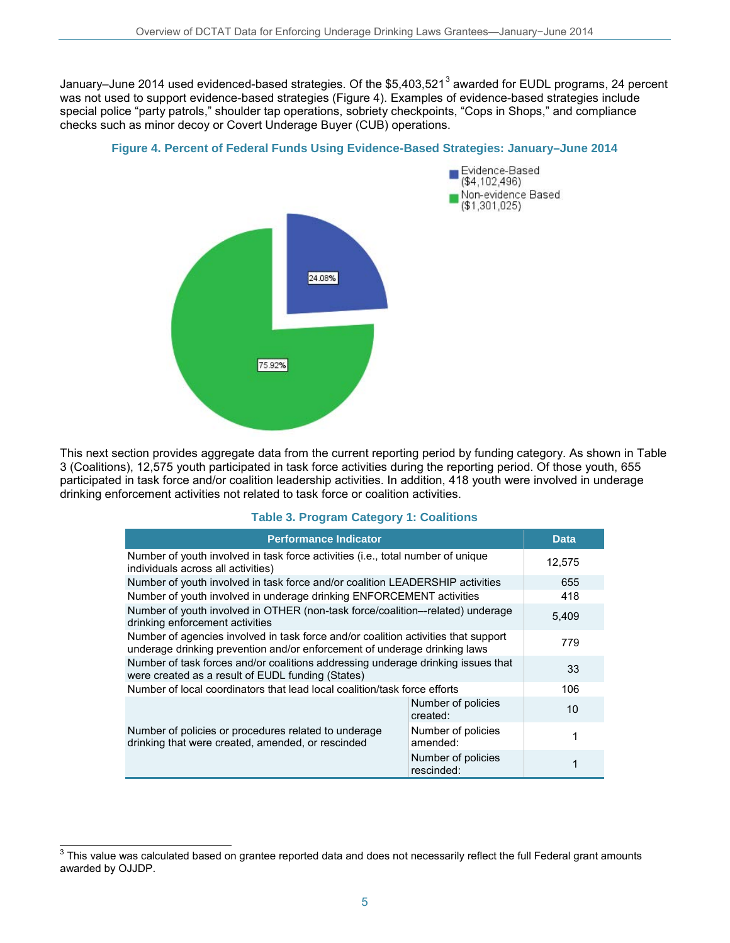January–June 2014 used evidenced-based strategies. Of the \$5,40[3](#page-4-0),521<sup>3</sup> awarded for EUDL programs, 24 percent was not used to support evidence-based strategies (Figure 4). Examples of evidence-based strategies include special police "party patrols," shoulder tap operations, sobriety checkpoints, "Cops in Shops," and compliance checks such as minor decoy or Covert Underage Buyer (CUB) operations.

#### **Figure 4. Percent of Federal Funds Using Evidence-Based Strategies: January–June 2014**



This next section provides aggregate data from the current reporting period by funding category. As shown in Table 3 (Coalitions), 12,575 youth participated in task force activities during the reporting period. Of those youth, 655 participated in task force and/or coalition leadership activities. In addition, 418 youth were involved in underage drinking enforcement activities not related to task force or coalition activities.

#### **Table 3. Program Category 1: Coalitions**

| <b>Performance Indicator</b>                                                                                                                                    | <b>Data</b>                      |       |
|-----------------------------------------------------------------------------------------------------------------------------------------------------------------|----------------------------------|-------|
| Number of youth involved in task force activities (i.e., total number of unique<br>individuals across all activities)                                           | 12,575                           |       |
| Number of youth involved in task force and/or coalition LEADERSHIP activities                                                                                   | 655                              |       |
| Number of youth involved in underage drinking ENFORCEMENT activities                                                                                            | 418                              |       |
| Number of youth involved in OTHER (non-task force/coalition--related) underage<br>drinking enforcement activities                                               |                                  | 5,409 |
| Number of agencies involved in task force and/or coalition activities that support<br>underage drinking prevention and/or enforcement of underage drinking laws |                                  | 779   |
| Number of task forces and/or coalitions addressing underage drinking issues that<br>were created as a result of EUDL funding (States)                           |                                  | 33    |
| Number of local coordinators that lead local coalition/task force efforts                                                                                       |                                  | 106   |
|                                                                                                                                                                 | Number of policies<br>created:   | 10    |
| Number of policies or procedures related to underage<br>drinking that were created, amended, or rescinded                                                       | Number of policies<br>amended:   |       |
|                                                                                                                                                                 | Number of policies<br>rescinded: |       |

<span id="page-4-0"></span> $\overline{a}$  $^3$  This value was calculated based on grantee reported data and does not necessarily reflect the full Federal grant amounts awarded by OJJDP.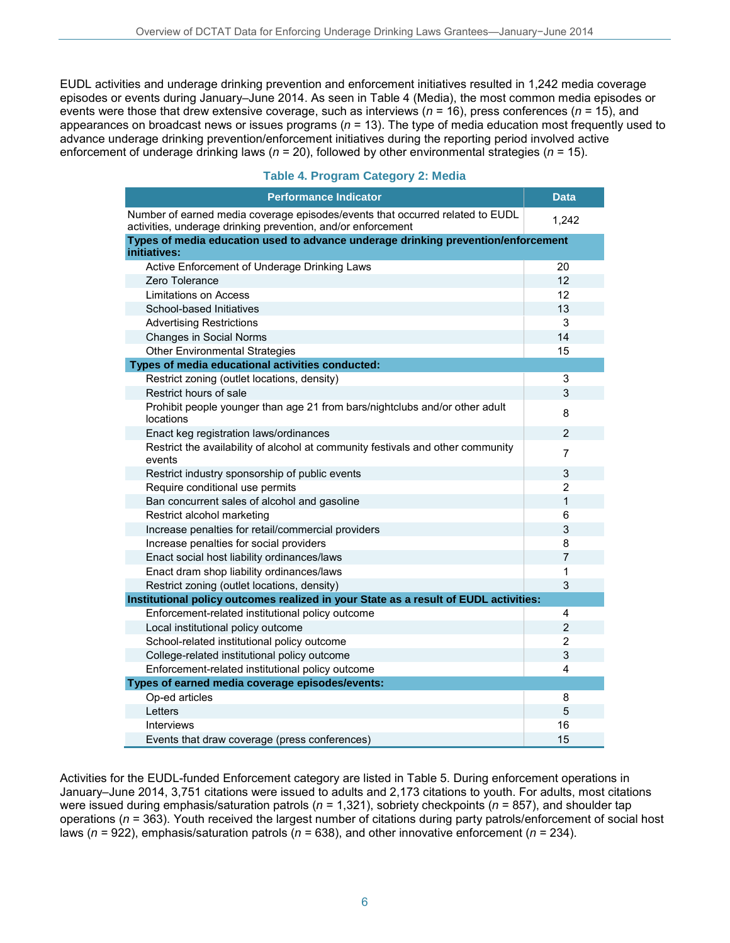EUDL activities and underage drinking prevention and enforcement initiatives resulted in 1,242 media coverage episodes or events during January–June 2014. As seen in Table 4 (Media), the most common media episodes or events were those that drew extensive coverage, such as interviews (*n* = 16), press conferences (*n* = 15), and appearances on broadcast news or issues programs (*n* = 13). The type of media education most frequently used to advance underage drinking prevention/enforcement initiatives during the reporting period involved active enforcement of underage drinking laws (*n* = 20), followed by other environmental strategies (*n* = 15).

#### **Table 4. Program Category 2: Media**

| <b>Performance Indicator</b>                                                                                                                  | <b>Data</b>    |
|-----------------------------------------------------------------------------------------------------------------------------------------------|----------------|
| Number of earned media coverage episodes/events that occurred related to EUDL<br>activities, underage drinking prevention, and/or enforcement | 1,242          |
| Types of media education used to advance underage drinking prevention/enforcement<br>initiatives:                                             |                |
| Active Enforcement of Underage Drinking Laws                                                                                                  | 20             |
| Zero Tolerance                                                                                                                                | 12             |
| Limitations on Access                                                                                                                         | 12             |
| School-based Initiatives                                                                                                                      | 13             |
| <b>Advertising Restrictions</b>                                                                                                               | 3              |
| <b>Changes in Social Norms</b>                                                                                                                | 14             |
| <b>Other Environmental Strategies</b>                                                                                                         | 15             |
| Types of media educational activities conducted:                                                                                              |                |
| Restrict zoning (outlet locations, density)                                                                                                   | 3              |
| Restrict hours of sale                                                                                                                        | 3              |
| Prohibit people younger than age 21 from bars/nightclubs and/or other adult<br>locations                                                      | 8              |
| Enact keg registration laws/ordinances                                                                                                        | 2              |
| Restrict the availability of alcohol at community festivals and other community<br>events                                                     | 7              |
| Restrict industry sponsorship of public events                                                                                                | 3              |
| Require conditional use permits                                                                                                               | 2              |
| Ban concurrent sales of alcohol and gasoline                                                                                                  | $\mathbf{1}$   |
| Restrict alcohol marketing                                                                                                                    | 6              |
| Increase penalties for retail/commercial providers                                                                                            | 3              |
| Increase penalties for social providers                                                                                                       | 8              |
| Enact social host liability ordinances/laws                                                                                                   | $\overline{7}$ |
| Enact dram shop liability ordinances/laws                                                                                                     | 1              |
| Restrict zoning (outlet locations, density)                                                                                                   | 3              |
| Institutional policy outcomes realized in your State as a result of EUDL activities:                                                          |                |
| Enforcement-related institutional policy outcome                                                                                              | 4              |
| Local institutional policy outcome                                                                                                            | $\overline{2}$ |
| School-related institutional policy outcome                                                                                                   | 2              |
| College-related institutional policy outcome                                                                                                  | 3              |
| Enforcement-related institutional policy outcome                                                                                              | 4              |
| Types of earned media coverage episodes/events:                                                                                               |                |
| Op-ed articles                                                                                                                                | 8              |
| Letters                                                                                                                                       | 5              |
| <b>Interviews</b>                                                                                                                             | 16             |
| Events that draw coverage (press conferences)                                                                                                 | 15             |

Activities for the EUDL-funded Enforcement category are listed in Table 5. During enforcement operations in January–June 2014, 3,751 citations were issued to adults and 2,173 citations to youth. For adults, most citations were issued during emphasis/saturation patrols (*n* = 1,321), sobriety checkpoints (*n* = 857), and shoulder tap operations (*n* = 363). Youth received the largest number of citations during party patrols/enforcement of social host laws (*n* = 922), emphasis/saturation patrols (*n* = 638), and other innovative enforcement (*n* = 234).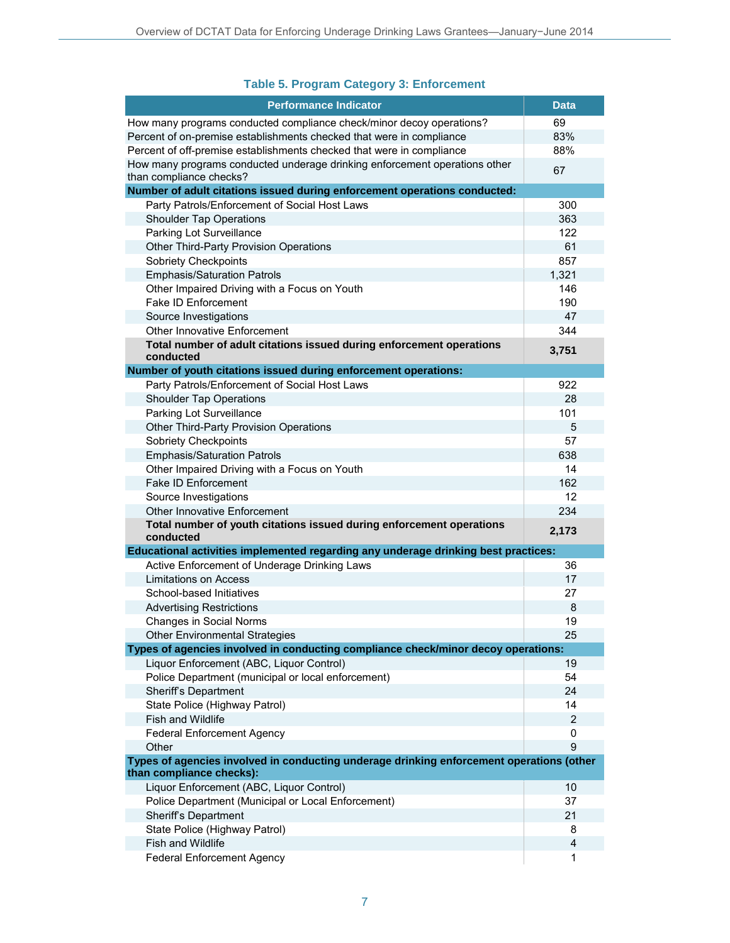### **Table 5. Program Category 3: Enforcement**

| <b>Performance Indicator</b>                                                                                         | <b>Data</b>    |  |
|----------------------------------------------------------------------------------------------------------------------|----------------|--|
| How many programs conducted compliance check/minor decoy operations?                                                 | 69             |  |
| Percent of on-premise establishments checked that were in compliance                                                 | 83%            |  |
| Percent of off-premise establishments checked that were in compliance                                                | 88%            |  |
| How many programs conducted underage drinking enforcement operations other<br>than compliance checks?                | 67             |  |
| Number of adult citations issued during enforcement operations conducted:                                            |                |  |
| Party Patrols/Enforcement of Social Host Laws                                                                        | 300            |  |
| <b>Shoulder Tap Operations</b>                                                                                       | 363            |  |
| Parking Lot Surveillance                                                                                             | 122            |  |
| <b>Other Third-Party Provision Operations</b>                                                                        | 61             |  |
| Sobriety Checkpoints                                                                                                 | 857            |  |
| <b>Emphasis/Saturation Patrols</b>                                                                                   | 1,321          |  |
| Other Impaired Driving with a Focus on Youth                                                                         | 146            |  |
| Fake ID Enforcement                                                                                                  | 190            |  |
| Source Investigations                                                                                                | 47             |  |
| <b>Other Innovative Enforcement</b>                                                                                  | 344            |  |
| Total number of adult citations issued during enforcement operations                                                 | 3,751          |  |
| conducted                                                                                                            |                |  |
| Number of youth citations issued during enforcement operations:                                                      |                |  |
| Party Patrols/Enforcement of Social Host Laws                                                                        | 922            |  |
| <b>Shoulder Tap Operations</b>                                                                                       | 28             |  |
| Parking Lot Surveillance                                                                                             | 101            |  |
| <b>Other Third-Party Provision Operations</b>                                                                        | 5<br>57        |  |
| Sobriety Checkpoints                                                                                                 | 638            |  |
| <b>Emphasis/Saturation Patrols</b>                                                                                   | 14             |  |
| Other Impaired Driving with a Focus on Youth<br>Fake ID Enforcement                                                  | 162            |  |
| Source Investigations                                                                                                | 12             |  |
| <b>Other Innovative Enforcement</b>                                                                                  | 234            |  |
| Total number of youth citations issued during enforcement operations                                                 |                |  |
| conducted                                                                                                            | 2,173          |  |
| Educational activities implemented regarding any underage drinking best practices:                                   |                |  |
| Active Enforcement of Underage Drinking Laws                                                                         | 36             |  |
| Limitations on Access                                                                                                | 17             |  |
| School-based Initiatives                                                                                             | 27             |  |
| <b>Advertising Restrictions</b>                                                                                      | 8              |  |
| Changes in Social Norms                                                                                              | 19             |  |
| <b>Other Environmental Strategies</b>                                                                                | 25             |  |
| Types of agencies involved in conducting compliance check/minor decoy operations:                                    |                |  |
| Liquor Enforcement (ABC, Liquor Control)                                                                             | 19             |  |
| Police Department (municipal or local enforcement)                                                                   | 54             |  |
| Sheriff's Department                                                                                                 | 24             |  |
| State Police (Highway Patrol)                                                                                        | 14             |  |
| Fish and Wildlife                                                                                                    | $\overline{2}$ |  |
| <b>Federal Enforcement Agency</b>                                                                                    | 0              |  |
| Other                                                                                                                | 9              |  |
| Types of agencies involved in conducting underage drinking enforcement operations (other<br>than compliance checks): |                |  |
| Liquor Enforcement (ABC, Liquor Control)                                                                             | 10             |  |
| Police Department (Municipal or Local Enforcement)                                                                   | 37             |  |
| Sheriff's Department                                                                                                 | 21             |  |
| State Police (Highway Patrol)                                                                                        | 8              |  |
| <b>Fish and Wildlife</b>                                                                                             | 4              |  |
| <b>Federal Enforcement Agency</b>                                                                                    | 1              |  |